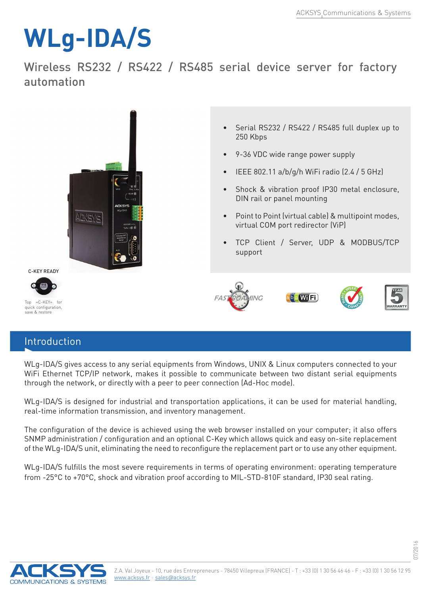## **WLg-IDA/S**

Wireless RS232 / RS422 / RS485 serial device server for factory automation



## Introduction

WLg-IDA/S gives access to any serial equipments from Windows, UNIX & Linux computers connected to your WiFi Ethernet TCP/IP network, makes it possible to communicate between two distant serial equipments through the network, or directly with a peer to peer connection (Ad-Hoc mode).

WLg-IDA/S is designed for industrial and transportation applications, it can be used for material handling, real-time information transmission, and inventory management.

The configuration of the device is achieved using the web browser installed on your computer; it also offers SNMP administration / configuration and an optional C-Key which allows quick and easy on-site replacement of the WLg-IDA/S unit, eliminating the need to reconfigure the replacement part or to use any other equipment.

WLg-IDA/S fulfills the most severe requirements in terms of operating environment: operating temperature from -25°C to +70°C, shock and vibration proof according to MIL-STD-810F standard, IP30 seal rating.



07/2016